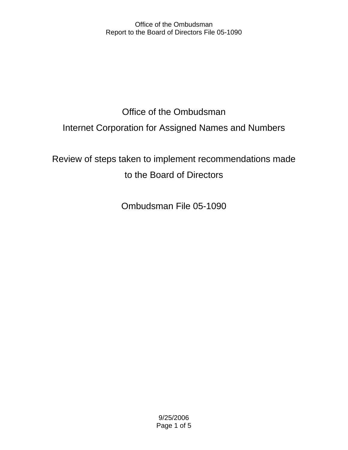# Office of the Ombudsman Internet Corporation for Assigned Names and Numbers

Review of steps taken to implement recommendations made to the Board of Directors

Ombudsman File 05-1090

9/25/2006 Page 1 of 5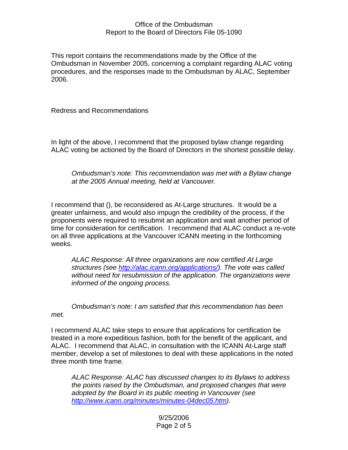This report contains the recommendations made by the Office of the Ombudsman in November 2005, concerning a complaint regarding ALAC voting procedures, and the responses made to the Ombudsman by ALAC, September 2006.

Redress and Recommendations

In light of the above, I recommend that the proposed bylaw change regarding ALAC voting be actioned by the Board of Directors in the shortest possible delay.

*Ombudsman's note: This recommendation was met with a Bylaw change at the 2005 Annual meeting, held at Vancouver.* 

I recommend that (), be reconsidered as At-Large structures. It would be a greater unfairness, and would also impugn the credibility of the process, if the proponents were required to resubmit an application and wait another period of time for consideration for certification. I recommend that ALAC conduct a re-vote on all three applications at the Vancouver ICANN meeting in the forthcoming weeks.

*ALAC Response: All three organizations are now certified At Large structures (see <http://alac.icann.org/applications/>). The vote was called without need for resubmission of the application. The organizations were informed of the ongoing process.* 

*Ombudsman's not*e: *I am satisfied that this recommendation has been met.* 

I recommend ALAC take steps to ensure that applications for certification be treated in a more expeditious fashion, both for the benefit of the applicant, and ALAC. I recommend that ALAC, in consultation with the ICANN At-Large staff member, develop a set of milestones to deal with these applications in the noted three month time frame.

*ALAC Response: ALAC has discussed changes to its Bylaws to address the points raised by the Ombudsman, and proposed changes that were adopted by the Board in its public meeting in Vancouver (see [http://www.icann.org/minutes/minutes-04dec05.htm\)](http://www.icann.org/minutes/minutes-04dec05.htm).* 

## 9/25/2006 Page 2 of 5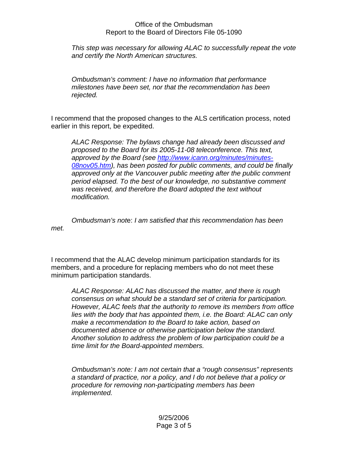*This step was necessary for allowing ALAC to successfully repeat the vote and certify the North American structures.* 

*Ombudsman's comment: I have no information that performance milestones have been set, nor that the recommendation has been rejected.* 

I recommend that the proposed changes to the ALS certification process, noted earlier in this report, be expedited.

*ALAC Response: The bylaws change had already been discussed and proposed to the Board for its 2005-11-08 teleconference. This text, approved by the Board (see [http://www.icann.org/minutes/minutes-](http://www.icann.org/minutes/minutes-08nov05.htm)[08nov05.htm](http://www.icann.org/minutes/minutes-08nov05.htm)), has been posted for public comments, and could be finally approved only at the Vancouver public meeting after the public comment period elapsed. To the best of our knowledge, no substantive comment was received, and therefore the Board adopted the text without modification.* 

*Ombudsman's not*e: *I am satisfied that this recommendation has been met.* 

I recommend that the ALAC develop minimum participation standards for its members, and a procedure for replacing members who do not meet these minimum participation standards.

*ALAC Response: ALAC has discussed the matter, and there is rough consensus on what should be a standard set of criteria for participation. However, ALAC feels that the authority to remove its members from office lies with the body that has appointed them, i.e. the Board: ALAC can only make a recommendation to the Board to take action, based on documented absence or otherwise participation below the standard. Another solution to address the problem of low participation could be a time limit for the Board-appointed members.* 

*Ombudsman's note: I am not certain that a "rough consensus" represents a standard of practice, nor a policy, and I do not believe that a policy or procedure for removing non-participating members has been implemented.*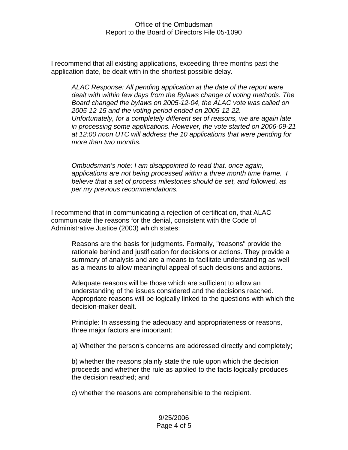I recommend that all existing applications, exceeding three months past the application date, be dealt with in the shortest possible delay.

*ALAC Response: All pending application at the date of the report were dealt with within few days from the Bylaws change of voting methods. The Board changed the bylaws on 2005-12-04, the ALAC vote was called on 2005-12-15 and the voting period ended on 2005-12-22. Unfortunately, for a completely different set of reasons, we are again late in processing some applications. However, the vote started on 2006-09-21 at 12:00 noon UTC will address the 10 applications that were pending for more than two months.*

*Ombudsman's note: I am disappointed to read that, once again, applications are not being processed within a three month time frame. I believe that a set of process milestones should be set, and followed, as per my previous recommendations.* 

I recommend that in communicating a rejection of certification, that ALAC communicate the reasons for the denial, consistent with the Code of Administrative Justice (2003) which states:

Reasons are the basis for judgments. Formally, "reasons" provide the rationale behind and justification for decisions or actions. They provide a summary of analysis and are a means to facilitate understanding as well as a means to allow meaningful appeal of such decisions and actions.

Adequate reasons will be those which are sufficient to allow an understanding of the issues considered and the decisions reached. Appropriate reasons will be logically linked to the questions with which the decision-maker dealt.

Principle: In assessing the adequacy and appropriateness or reasons, three major factors are important:

a) Whether the person's concerns are addressed directly and completely;

b) whether the reasons plainly state the rule upon which the decision proceeds and whether the rule as applied to the facts logically produces the decision reached; and

c) whether the reasons are comprehensible to the recipient.